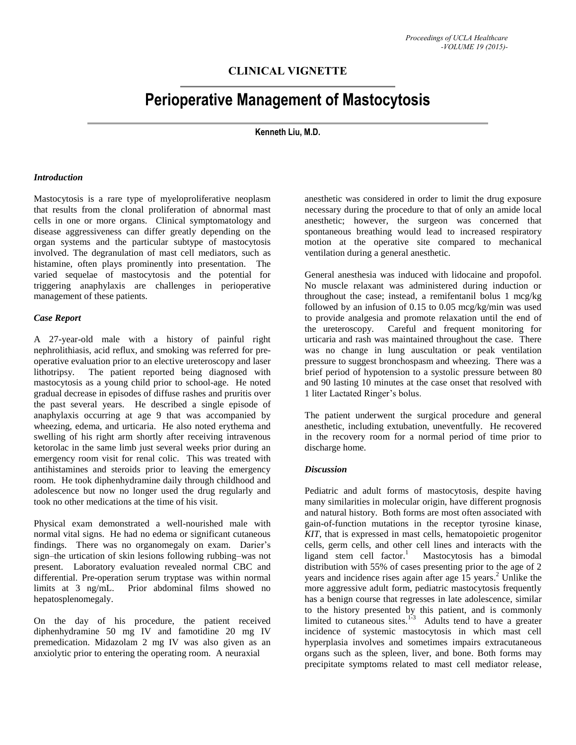## **CLINICAL VIGNETTE**

# **Perioperative Management of Mastocytosis**

**Kenneth Liu, M.D.**

#### *Introduction*

Mastocytosis is a rare type of myeloproliferative neoplasm that results from the clonal proliferation of abnormal mast cells in one or more organs. Clinical symptomatology and disease aggressiveness can differ greatly depending on the organ systems and the particular subtype of mastocytosis involved. The degranulation of mast cell mediators, such as histamine, often plays prominently into presentation. The varied sequelae of mastocytosis and the potential for triggering anaphylaxis are challenges in perioperative management of these patients.

### *Case Report*

A 27-year-old male with a history of painful right nephrolithiasis, acid reflux, and smoking was referred for preoperative evaluation prior to an elective ureteroscopy and laser lithotripsy. The patient reported being diagnosed with mastocytosis as a young child prior to school-age. He noted gradual decrease in episodes of diffuse rashes and pruritis over the past several years. He described a single episode of anaphylaxis occurring at age 9 that was accompanied by wheezing, edema, and urticaria. He also noted erythema and swelling of his right arm shortly after receiving intravenous ketorolac in the same limb just several weeks prior during an emergency room visit for renal colic. This was treated with antihistamines and steroids prior to leaving the emergency room. He took diphenhydramine daily through childhood and adolescence but now no longer used the drug regularly and took no other medications at the time of his visit.

Physical exam demonstrated a well-nourished male with normal vital signs. He had no edema or significant cutaneous findings. There was no organomegaly on exam. Darier's sign–the urtication of skin lesions following rubbing–was not present. Laboratory evaluation revealed normal CBC and differential. Pre-operation serum tryptase was within normal limits at 3 ng/mL. Prior abdominal films showed no hepatosplenomegaly.

On the day of his procedure, the patient received diphenhydramine 50 mg IV and famotidine 20 mg IV premedication. Midazolam 2 mg IV was also given as an anxiolytic prior to entering the operating room. A neuraxial

anesthetic was considered in order to limit the drug exposure necessary during the procedure to that of only an amide local anesthetic; however, the surgeon was concerned that spontaneous breathing would lead to increased respiratory motion at the operative site compared to mechanical ventilation during a general anesthetic.

General anesthesia was induced with lidocaine and propofol. No muscle relaxant was administered during induction or throughout the case; instead, a remifentanil bolus 1 mcg/kg followed by an infusion of 0.15 to 0.05 mcg/kg/min was used to provide analgesia and promote relaxation until the end of the ureteroscopy. Careful and frequent monitoring for urticaria and rash was maintained throughout the case. There was no change in lung auscultation or peak ventilation pressure to suggest bronchospasm and wheezing. There was a brief period of hypotension to a systolic pressure between 80 and 90 lasting 10 minutes at the case onset that resolved with 1 liter Lactated Ringer's bolus.

The patient underwent the surgical procedure and general anesthetic, including extubation, uneventfully. He recovered in the recovery room for a normal period of time prior to discharge home.

### *Discussion*

Pediatric and adult forms of mastocytosis, despite having many similarities in molecular origin, have different prognosis and natural history. Both forms are most often associated with gain-of-function mutations in the receptor tyrosine kinase, *KIT*, that is expressed in mast cells, hematopoietic progenitor cells, germ cells, and other cell lines and interacts with the ligand stem cell factor.<sup>1</sup> Mastocytosis has a bimodal distribution with 55% of cases presenting prior to the age of 2 years and incidence rises again after age 15 years. <sup>2</sup> Unlike the more aggressive adult form, pediatric mastocytosis frequently has a benign course that regresses in late adolescence, similar to the history presented by this patient, and is commonly limited to cutaneous sites.<sup>1-3</sup> Adults tend to have a greater incidence of systemic mastocytosis in which mast cell hyperplasia involves and sometimes impairs extracutaneous organs such as the spleen, liver, and bone. Both forms may precipitate symptoms related to mast cell mediator release,